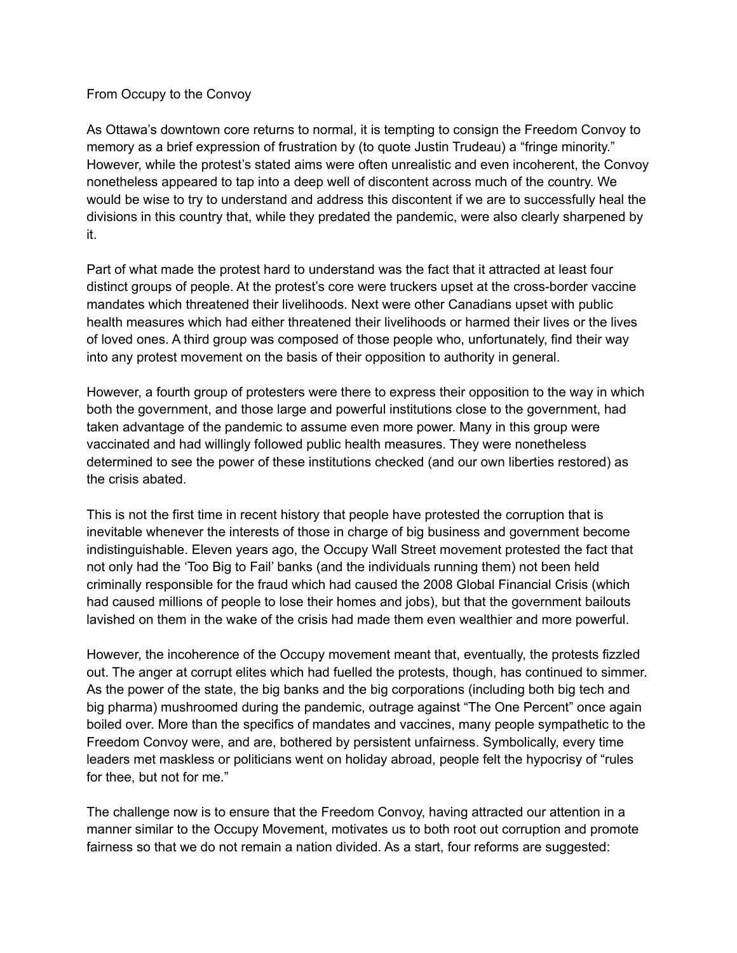## From Occupy to the Convoy

As Ottawa's downtown core returns to normal, it is tempting to consign the Freedom Convoy to memory as a brief expression of frustration by (to quote Justin Trudeau) a "fringe minority." However, while the protest's stated aims were often unrealistic and even incoherent, the Convoy nonetheless appeared to tap into a deep well of discontent across much of the country. We would be wise to try to understand and address this discontent if we are to successfully heal the divisions in this country that, while they predated the pandemic, were also clearly sharpened by it.

Part of what made the protest hard to understand was the fact that it attracted at least four distinct groups of people. At the protest's core were truckers upset at the cross-border vaccine mandates which threatened their livelihoods. Next were other Canadians upset with public health measures which had either threatened their livelihoods or harmed their lives or the lives of loved ones. A third group was composed of those people who, unfortunately, find their way into any protest movement on the basis of their opposition to authority in general.

However, a fourth group of protesters were there to express their opposition to the way in which both the government, and those large and powerful institutions close to the government, had taken advantage of the pandemic to assume even more power. Many in this group were vaccinated and had willingly followed public health measures. They were nonetheless determined to see the power of these institutions checked (and our own liberties restored) as the crisis abated.

This is not the first time in recent history that people have protested the corruption that is inevitable whenever the interests of those in charge of big business and government become indistinguishable. Eleven years ago, the Occupy Wall Street movement protested the fact that not only had the 'Too Big to Fail' banks (and the individuals running them) not been held criminally responsible for the fraud which had caused the 2008 Global Financial Crisis (which had caused millions of people to lose their homes and jobs), but that the government bailouts lavished on them in the wake of the crisis had made them even wealthier and more powerful.

However, the incoherence of the Occupy movement meant that, eventually, the protests fizzled out. The anger at corrupt elites which had fuelled the protests, though, has continued to simmer. As the power of the state, the big banks and the big corporations (including both big tech and big pharma) mushroomed during the pandemic, outrage against "The One Percent" once again boiled over. More than the specifics of mandates and vaccines, many people sympathetic to the Freedom Convoy were, and are, bothered by persistent unfairness. Symbolically, every time leaders met maskless or politicians went on holiday abroad, people felt the hypocrisy of "rules for thee, but not for me."

The challenge now is to ensure that the Freedom Convoy, having attracted our attention in a manner similar to the Occupy Movement, motivates us to both root out corruption and promote fairness so that we do not remain a nation divided. As a start, four reforms are suggested: